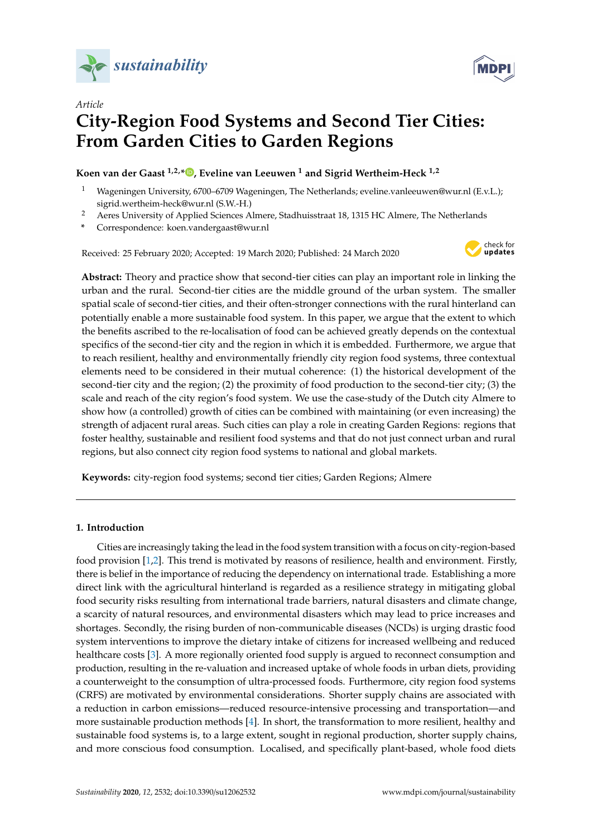



# *Article* **City-Region Food Systems and Second Tier Cities: From Garden Cities to Garden Regions**

# **Koen van der Gaast 1,2,[\\*](https://orcid.org/0000-0001-7854-0355) , Eveline van Leeuwen <sup>1</sup> and Sigrid Wertheim-Heck 1,2**

- <sup>1</sup> Wageningen University, 6700–6709 Wageningen, The Netherlands; eveline.vanleeuwen@wur.nl (E.v.L.); sigrid.wertheim-heck@wur.nl (S.W.-H.)
- <sup>2</sup> Aeres University of Applied Sciences Almere, Stadhuisstraat 18, 1315 HC Almere, The Netherlands
- **\*** Correspondence: koen.vandergaast@wur.nl

Received: 25 February 2020; Accepted: 19 March 2020; Published: 24 March 2020



**Abstract:** Theory and practice show that second-tier cities can play an important role in linking the urban and the rural. Second-tier cities are the middle ground of the urban system. The smaller spatial scale of second-tier cities, and their often-stronger connections with the rural hinterland can potentially enable a more sustainable food system. In this paper, we argue that the extent to which the benefits ascribed to the re-localisation of food can be achieved greatly depends on the contextual specifics of the second-tier city and the region in which it is embedded. Furthermore, we argue that to reach resilient, healthy and environmentally friendly city region food systems, three contextual elements need to be considered in their mutual coherence: (1) the historical development of the second-tier city and the region; (2) the proximity of food production to the second-tier city; (3) the scale and reach of the city region's food system. We use the case-study of the Dutch city Almere to show how (a controlled) growth of cities can be combined with maintaining (or even increasing) the strength of adjacent rural areas. Such cities can play a role in creating Garden Regions: regions that foster healthy, sustainable and resilient food systems and that do not just connect urban and rural regions, but also connect city region food systems to national and global markets.

**Keywords:** city-region food systems; second tier cities; Garden Regions; Almere

# **1. Introduction**

Cities are increasingly taking the lead in the food system transition with a focus on city-region-based food provision [\[1](#page-10-0)[,2\]](#page-10-1). This trend is motivated by reasons of resilience, health and environment. Firstly, there is belief in the importance of reducing the dependency on international trade. Establishing a more direct link with the agricultural hinterland is regarded as a resilience strategy in mitigating global food security risks resulting from international trade barriers, natural disasters and climate change, a scarcity of natural resources, and environmental disasters which may lead to price increases and shortages. Secondly, the rising burden of non-communicable diseases (NCDs) is urging drastic food system interventions to improve the dietary intake of citizens for increased wellbeing and reduced healthcare costs [\[3\]](#page-10-2). A more regionally oriented food supply is argued to reconnect consumption and production, resulting in the re-valuation and increased uptake of whole foods in urban diets, providing a counterweight to the consumption of ultra-processed foods. Furthermore, city region food systems (CRFS) are motivated by environmental considerations. Shorter supply chains are associated with a reduction in carbon emissions—reduced resource-intensive processing and transportation—and more sustainable production methods [\[4\]](#page-10-3). In short, the transformation to more resilient, healthy and sustainable food systems is, to a large extent, sought in regional production, shorter supply chains, and more conscious food consumption. Localised, and specifically plant-based, whole food diets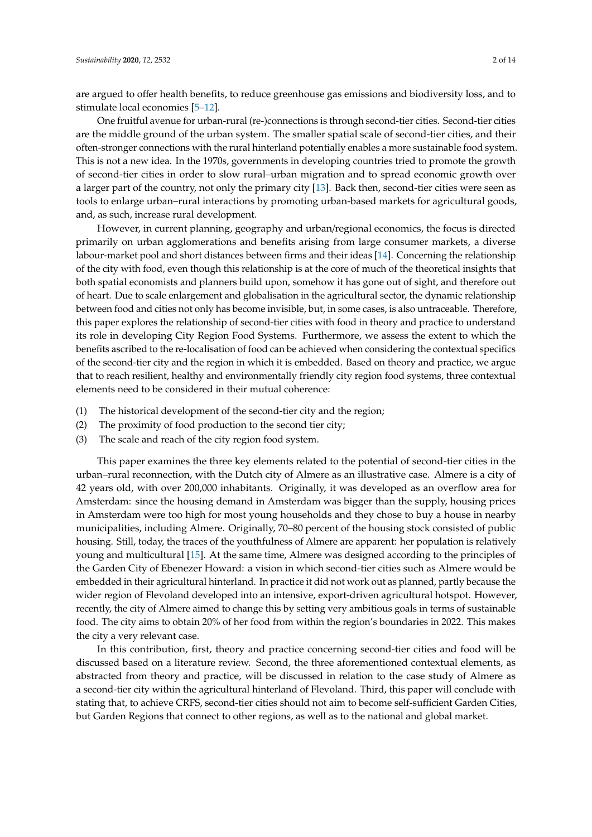are argued to offer health benefits, to reduce greenhouse gas emissions and biodiversity loss, and to stimulate local economies [\[5–](#page-11-0)[12\]](#page-11-1).

One fruitful avenue for urban-rural (re-)connections is through second-tier cities. Second-tier cities are the middle ground of the urban system. The smaller spatial scale of second-tier cities, and their often-stronger connections with the rural hinterland potentially enables a more sustainable food system. This is not a new idea. In the 1970s, governments in developing countries tried to promote the growth of second-tier cities in order to slow rural–urban migration and to spread economic growth over a larger part of the country, not only the primary city [\[13\]](#page-11-2). Back then, second-tier cities were seen as tools to enlarge urban–rural interactions by promoting urban-based markets for agricultural goods, and, as such, increase rural development.

However, in current planning, geography and urban/regional economics, the focus is directed primarily on urban agglomerations and benefits arising from large consumer markets, a diverse labour-market pool and short distances between firms and their ideas [\[14\]](#page-11-3). Concerning the relationship of the city with food, even though this relationship is at the core of much of the theoretical insights that both spatial economists and planners build upon, somehow it has gone out of sight, and therefore out of heart. Due to scale enlargement and globalisation in the agricultural sector, the dynamic relationship between food and cities not only has become invisible, but, in some cases, is also untraceable. Therefore, this paper explores the relationship of second-tier cities with food in theory and practice to understand its role in developing City Region Food Systems. Furthermore, we assess the extent to which the benefits ascribed to the re-localisation of food can be achieved when considering the contextual specifics of the second-tier city and the region in which it is embedded. Based on theory and practice, we argue that to reach resilient, healthy and environmentally friendly city region food systems, three contextual elements need to be considered in their mutual coherence:

- (1) The historical development of the second-tier city and the region;
- (2) The proximity of food production to the second tier city;
- (3) The scale and reach of the city region food system.

This paper examines the three key elements related to the potential of second-tier cities in the urban–rural reconnection, with the Dutch city of Almere as an illustrative case. Almere is a city of 42 years old, with over 200,000 inhabitants. Originally, it was developed as an overflow area for Amsterdam: since the housing demand in Amsterdam was bigger than the supply, housing prices in Amsterdam were too high for most young households and they chose to buy a house in nearby municipalities, including Almere. Originally, 70–80 percent of the housing stock consisted of public housing. Still, today, the traces of the youthfulness of Almere are apparent: her population is relatively young and multicultural [\[15\]](#page-11-4). At the same time, Almere was designed according to the principles of the Garden City of Ebenezer Howard: a vision in which second-tier cities such as Almere would be embedded in their agricultural hinterland. In practice it did not work out as planned, partly because the wider region of Flevoland developed into an intensive, export-driven agricultural hotspot. However, recently, the city of Almere aimed to change this by setting very ambitious goals in terms of sustainable food. The city aims to obtain 20% of her food from within the region's boundaries in 2022. This makes the city a very relevant case.

In this contribution, first, theory and practice concerning second-tier cities and food will be discussed based on a literature review. Second, the three aforementioned contextual elements, as abstracted from theory and practice, will be discussed in relation to the case study of Almere as a second-tier city within the agricultural hinterland of Flevoland. Third, this paper will conclude with stating that, to achieve CRFS, second-tier cities should not aim to become self-sufficient Garden Cities, but Garden Regions that connect to other regions, as well as to the national and global market.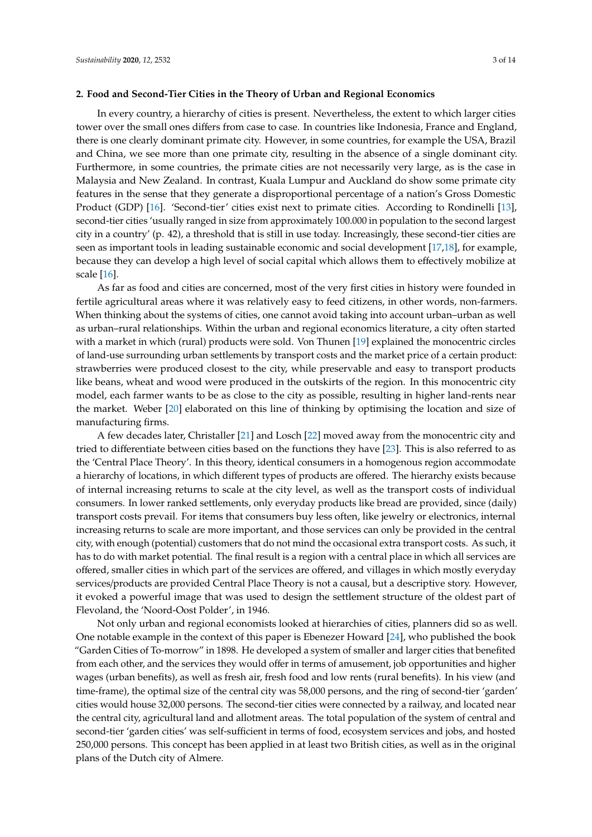#### <span id="page-2-0"></span>**2. Food and Second-Tier Cities in the Theory of Urban and Regional Economics**

In every country, a hierarchy of cities is present. Nevertheless, the extent to which larger cities tower over the small ones differs from case to case. In countries like Indonesia, France and England, there is one clearly dominant primate city. However, in some countries, for example the USA, Brazil and China, we see more than one primate city, resulting in the absence of a single dominant city. Furthermore, in some countries, the primate cities are not necessarily very large, as is the case in Malaysia and New Zealand. In contrast, Kuala Lumpur and Auckland do show some primate city features in the sense that they generate a disproportional percentage of a nation's Gross Domestic Product (GDP) [\[16\]](#page-11-5). 'Second-tier' cities exist next to primate cities. According to Rondinelli [\[13\]](#page-11-2), second-tier cities 'usually ranged in size from approximately 100.000 in population to the second largest city in a country' (p. 42), a threshold that is still in use today. Increasingly, these second-tier cities are seen as important tools in leading sustainable economic and social development [\[17](#page-11-6)[,18\]](#page-11-7), for example, because they can develop a high level of social capital which allows them to effectively mobilize at scale [\[16\]](#page-11-5).

As far as food and cities are concerned, most of the very first cities in history were founded in fertile agricultural areas where it was relatively easy to feed citizens, in other words, non-farmers. When thinking about the systems of cities, one cannot avoid taking into account urban–urban as well as urban–rural relationships. Within the urban and regional economics literature, a city often started with a market in which (rural) products were sold. Von Thunen [\[19\]](#page-11-8) explained the monocentric circles of land-use surrounding urban settlements by transport costs and the market price of a certain product: strawberries were produced closest to the city, while preservable and easy to transport products like beans, wheat and wood were produced in the outskirts of the region. In this monocentric city model, each farmer wants to be as close to the city as possible, resulting in higher land-rents near the market. Weber [\[20\]](#page-11-9) elaborated on this line of thinking by optimising the location and size of manufacturing firms.

A few decades later, Christaller [\[21\]](#page-11-10) and Losch [\[22\]](#page-11-11) moved away from the monocentric city and tried to differentiate between cities based on the functions they have [\[23\]](#page-11-12). This is also referred to as the 'Central Place Theory'. In this theory, identical consumers in a homogenous region accommodate a hierarchy of locations, in which different types of products are offered. The hierarchy exists because of internal increasing returns to scale at the city level, as well as the transport costs of individual consumers. In lower ranked settlements, only everyday products like bread are provided, since (daily) transport costs prevail. For items that consumers buy less often, like jewelry or electronics, internal increasing returns to scale are more important, and those services can only be provided in the central city, with enough (potential) customers that do not mind the occasional extra transport costs. As such, it has to do with market potential. The final result is a region with a central place in which all services are offered, smaller cities in which part of the services are offered, and villages in which mostly everyday services/products are provided Central Place Theory is not a causal, but a descriptive story. However, it evoked a powerful image that was used to design the settlement structure of the oldest part of Flevoland, the 'Noord-Oost Polder', in 1946.

Not only urban and regional economists looked at hierarchies of cities, planners did so as well. One notable example in the context of this paper is Ebenezer Howard [\[24\]](#page-11-13), who published the book "Garden Cities of To-morrow" in 1898. He developed a system of smaller and larger cities that benefited from each other, and the services they would offer in terms of amusement, job opportunities and higher wages (urban benefits), as well as fresh air, fresh food and low rents (rural benefits). In his view (and time-frame), the optimal size of the central city was 58,000 persons, and the ring of second-tier 'garden' cities would house 32,000 persons. The second-tier cities were connected by a railway, and located near the central city, agricultural land and allotment areas. The total population of the system of central and second-tier 'garden cities' was self-sufficient in terms of food, ecosystem services and jobs, and hosted 250,000 persons. This concept has been applied in at least two British cities, as well as in the original plans of the Dutch city of Almere.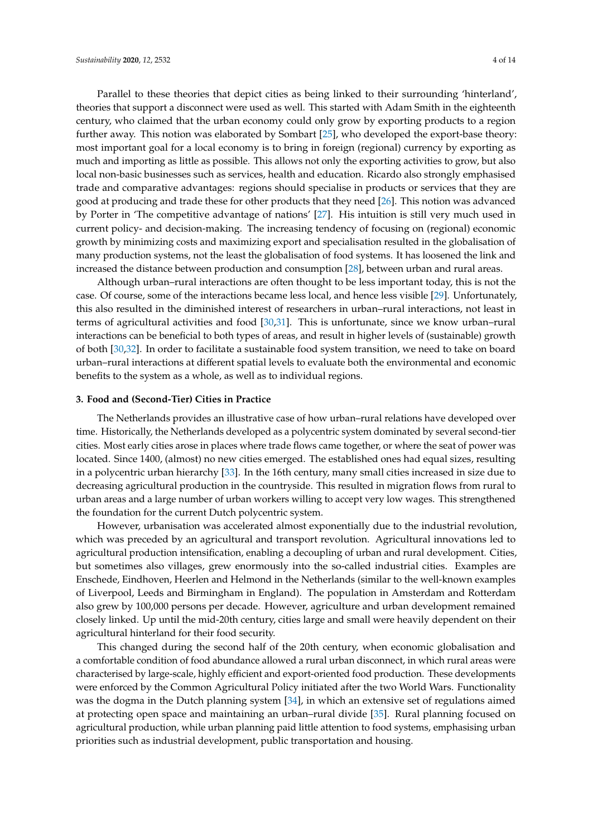Parallel to these theories that depict cities as being linked to their surrounding 'hinterland', theories that support a disconnect were used as well. This started with Adam Smith in the eighteenth century, who claimed that the urban economy could only grow by exporting products to a region further away. This notion was elaborated by Sombart [\[25\]](#page-11-14), who developed the export-base theory: most important goal for a local economy is to bring in foreign (regional) currency by exporting as much and importing as little as possible. This allows not only the exporting activities to grow, but also local non-basic businesses such as services, health and education. Ricardo also strongly emphasised trade and comparative advantages: regions should specialise in products or services that they are good at producing and trade these for other products that they need [\[26\]](#page-11-15). This notion was advanced by Porter in 'The competitive advantage of nations' [\[27\]](#page-11-16). His intuition is still very much used in current policy- and decision-making. The increasing tendency of focusing on (regional) economic growth by minimizing costs and maximizing export and specialisation resulted in the globalisation of many production systems, not the least the globalisation of food systems. It has loosened the link and increased the distance between production and consumption [\[28\]](#page-11-17), between urban and rural areas.

Although urban–rural interactions are often thought to be less important today, this is not the case. Of course, some of the interactions became less local, and hence less visible [\[29\]](#page-11-18). Unfortunately, this also resulted in the diminished interest of researchers in urban–rural interactions, not least in terms of agricultural activities and food [\[30](#page-11-19)[,31\]](#page-11-20). This is unfortunate, since we know urban–rural interactions can be beneficial to both types of areas, and result in higher levels of (sustainable) growth of both [\[30](#page-11-19)[,32\]](#page-11-21). In order to facilitate a sustainable food system transition, we need to take on board urban–rural interactions at different spatial levels to evaluate both the environmental and economic benefits to the system as a whole, as well as to individual regions.

#### <span id="page-3-0"></span>**3. Food and (Second-Tier) Cities in Practice**

The Netherlands provides an illustrative case of how urban–rural relations have developed over time. Historically, the Netherlands developed as a polycentric system dominated by several second-tier cities. Most early cities arose in places where trade flows came together, or where the seat of power was located. Since 1400, (almost) no new cities emerged. The established ones had equal sizes, resulting in a polycentric urban hierarchy [\[33\]](#page-11-22). In the 16th century, many small cities increased in size due to decreasing agricultural production in the countryside. This resulted in migration flows from rural to urban areas and a large number of urban workers willing to accept very low wages. This strengthened the foundation for the current Dutch polycentric system.

However, urbanisation was accelerated almost exponentially due to the industrial revolution, which was preceded by an agricultural and transport revolution. Agricultural innovations led to agricultural production intensification, enabling a decoupling of urban and rural development. Cities, but sometimes also villages, grew enormously into the so-called industrial cities. Examples are Enschede, Eindhoven, Heerlen and Helmond in the Netherlands (similar to the well-known examples of Liverpool, Leeds and Birmingham in England). The population in Amsterdam and Rotterdam also grew by 100,000 persons per decade. However, agriculture and urban development remained closely linked. Up until the mid-20th century, cities large and small were heavily dependent on their agricultural hinterland for their food security.

This changed during the second half of the 20th century, when economic globalisation and a comfortable condition of food abundance allowed a rural urban disconnect, in which rural areas were characterised by large-scale, highly efficient and export-oriented food production. These developments were enforced by the Common Agricultural Policy initiated after the two World Wars. Functionality was the dogma in the Dutch planning system [\[34\]](#page-12-0), in which an extensive set of regulations aimed at protecting open space and maintaining an urban–rural divide [\[35\]](#page-12-1). Rural planning focused on agricultural production, while urban planning paid little attention to food systems, emphasising urban priorities such as industrial development, public transportation and housing.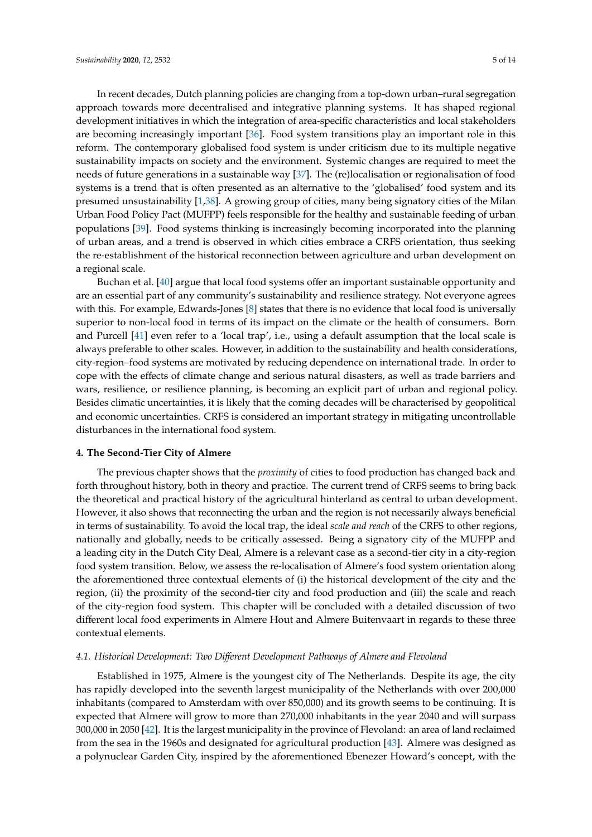In recent decades, Dutch planning policies are changing from a top-down urban–rural segregation approach towards more decentralised and integrative planning systems. It has shaped regional development initiatives in which the integration of area-specific characteristics and local stakeholders are becoming increasingly important [\[36\]](#page-12-2). Food system transitions play an important role in this reform. The contemporary globalised food system is under criticism due to its multiple negative sustainability impacts on society and the environment. Systemic changes are required to meet the needs of future generations in a sustainable way [\[37\]](#page-12-3). The (re)localisation or regionalisation of food systems is a trend that is often presented as an alternative to the 'globalised' food system and its presumed unsustainability [\[1,](#page-10-0)[38\]](#page-12-4). A growing group of cities, many being signatory cities of the Milan Urban Food Policy Pact (MUFPP) feels responsible for the healthy and sustainable feeding of urban populations [\[39\]](#page-12-5). Food systems thinking is increasingly becoming incorporated into the planning of urban areas, and a trend is observed in which cities embrace a CRFS orientation, thus seeking the re-establishment of the historical reconnection between agriculture and urban development on a regional scale.

Buchan et al. [\[40\]](#page-12-6) argue that local food systems offer an important sustainable opportunity and are an essential part of any community's sustainability and resilience strategy. Not everyone agrees with this. For example, Edwards-Jones [\[8\]](#page-11-23) states that there is no evidence that local food is universally superior to non-local food in terms of its impact on the climate or the health of consumers. Born and Purcell [\[41\]](#page-12-7) even refer to a 'local trap', i.e., using a default assumption that the local scale is always preferable to other scales. However, in addition to the sustainability and health considerations, city-region–food systems are motivated by reducing dependence on international trade. In order to cope with the effects of climate change and serious natural disasters, as well as trade barriers and wars, resilience, or resilience planning, is becoming an explicit part of urban and regional policy. Besides climatic uncertainties, it is likely that the coming decades will be characterised by geopolitical and economic uncertainties. CRFS is considered an important strategy in mitigating uncontrollable disturbances in the international food system.

## <span id="page-4-0"></span>**4. The Second-Tier City of Almere**

The previous chapter shows that the *proximity* of cities to food production has changed back and forth throughout history, both in theory and practice. The current trend of CRFS seems to bring back the theoretical and practical history of the agricultural hinterland as central to urban development. However, it also shows that reconnecting the urban and the region is not necessarily always beneficial in terms of sustainability. To avoid the local trap, the ideal *scale and reach* of the CRFS to other regions, nationally and globally, needs to be critically assessed. Being a signatory city of the MUFPP and a leading city in the Dutch City Deal, Almere is a relevant case as a second-tier city in a city-region food system transition. Below, we assess the re-localisation of Almere's food system orientation along the aforementioned three contextual elements of (i) the historical development of the city and the region, (ii) the proximity of the second-tier city and food production and (iii) the scale and reach of the city-region food system. This chapter will be concluded with a detailed discussion of two different local food experiments in Almere Hout and Almere Buitenvaart in regards to these three contextual elements.

#### *4.1. Historical Development: Two Di*ff*erent Development Pathways of Almere and Flevoland*

Established in 1975, Almere is the youngest city of The Netherlands. Despite its age, the city has rapidly developed into the seventh largest municipality of the Netherlands with over 200,000 inhabitants (compared to Amsterdam with over 850,000) and its growth seems to be continuing. It is expected that Almere will grow to more than 270,000 inhabitants in the year 2040 and will surpass 300,000 in 2050 [\[42\]](#page-12-8). It is the largest municipality in the province of Flevoland: an area of land reclaimed from the sea in the 1960s and designated for agricultural production [\[43\]](#page-12-9). Almere was designed as a polynuclear Garden City, inspired by the aforementioned Ebenezer Howard's concept, with the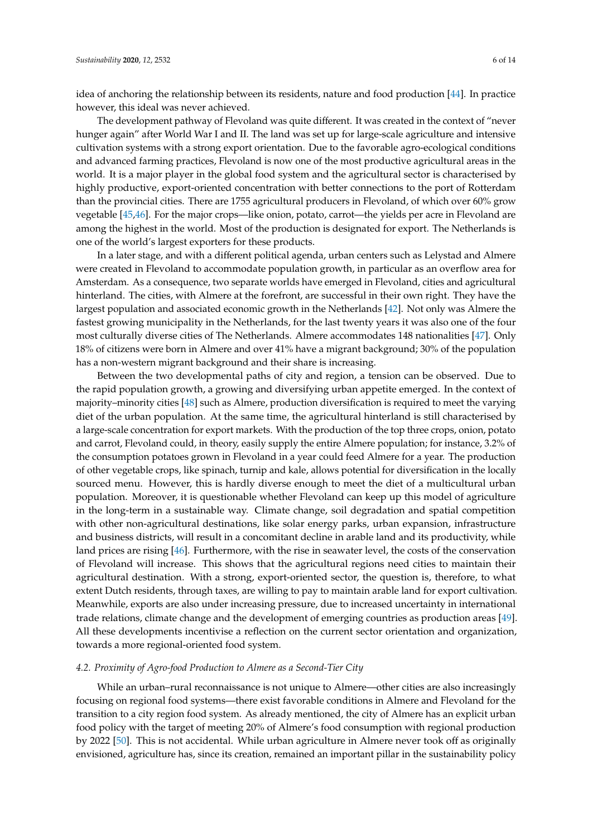idea of anchoring the relationship between its residents, nature and food production [\[44\]](#page-12-10). In practice however, this ideal was never achieved.

The development pathway of Flevoland was quite different. It was created in the context of "never hunger again" after World War I and II. The land was set up for large-scale agriculture and intensive cultivation systems with a strong export orientation. Due to the favorable agro-ecological conditions and advanced farming practices, Flevoland is now one of the most productive agricultural areas in the world. It is a major player in the global food system and the agricultural sector is characterised by highly productive, export-oriented concentration with better connections to the port of Rotterdam than the provincial cities. There are 1755 agricultural producers in Flevoland, of which over 60% grow vegetable [\[45,](#page-12-11)[46\]](#page-12-12). For the major crops—like onion, potato, carrot—the yields per acre in Flevoland are among the highest in the world. Most of the production is designated for export. The Netherlands is one of the world's largest exporters for these products.

In a later stage, and with a different political agenda, urban centers such as Lelystad and Almere were created in Flevoland to accommodate population growth, in particular as an overflow area for Amsterdam. As a consequence, two separate worlds have emerged in Flevoland, cities and agricultural hinterland. The cities, with Almere at the forefront, are successful in their own right. They have the largest population and associated economic growth in the Netherlands [\[42\]](#page-12-8). Not only was Almere the fastest growing municipality in the Netherlands, for the last twenty years it was also one of the four most culturally diverse cities of The Netherlands. Almere accommodates 148 nationalities [\[47\]](#page-12-13). Only 18% of citizens were born in Almere and over 41% have a migrant background; 30% of the population has a non-western migrant background and their share is increasing.

Between the two developmental paths of city and region, a tension can be observed. Due to the rapid population growth, a growing and diversifying urban appetite emerged. In the context of majority–minority cities [\[48\]](#page-12-14) such as Almere, production diversification is required to meet the varying diet of the urban population. At the same time, the agricultural hinterland is still characterised by a large-scale concentration for export markets. With the production of the top three crops, onion, potato and carrot, Flevoland could, in theory, easily supply the entire Almere population; for instance, 3.2% of the consumption potatoes grown in Flevoland in a year could feed Almere for a year. The production of other vegetable crops, like spinach, turnip and kale, allows potential for diversification in the locally sourced menu. However, this is hardly diverse enough to meet the diet of a multicultural urban population. Moreover, it is questionable whether Flevoland can keep up this model of agriculture in the long-term in a sustainable way. Climate change, soil degradation and spatial competition with other non-agricultural destinations, like solar energy parks, urban expansion, infrastructure and business districts, will result in a concomitant decline in arable land and its productivity, while land prices are rising [\[46\]](#page-12-12). Furthermore, with the rise in seawater level, the costs of the conservation of Flevoland will increase. This shows that the agricultural regions need cities to maintain their agricultural destination. With a strong, export-oriented sector, the question is, therefore, to what extent Dutch residents, through taxes, are willing to pay to maintain arable land for export cultivation. Meanwhile, exports are also under increasing pressure, due to increased uncertainty in international trade relations, climate change and the development of emerging countries as production areas [\[49\]](#page-12-15). All these developments incentivise a reflection on the current sector orientation and organization, towards a more regional-oriented food system.

#### *4.2. Proximity of Agro-food Production to Almere as a Second-Tier City*

While an urban–rural reconnaissance is not unique to Almere—other cities are also increasingly focusing on regional food systems—there exist favorable conditions in Almere and Flevoland for the transition to a city region food system. As already mentioned, the city of Almere has an explicit urban food policy with the target of meeting 20% of Almere's food consumption with regional production by 2022 [\[50\]](#page-12-16). This is not accidental. While urban agriculture in Almere never took off as originally envisioned, agriculture has, since its creation, remained an important pillar in the sustainability policy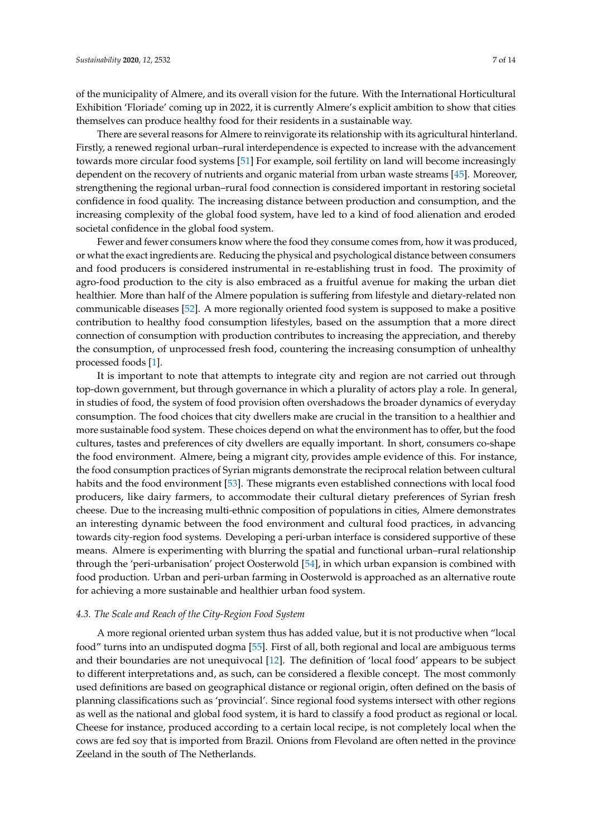of the municipality of Almere, and its overall vision for the future. With the International Horticultural Exhibition 'Floriade' coming up in 2022, it is currently Almere's explicit ambition to show that cities themselves can produce healthy food for their residents in a sustainable way.

There are several reasons for Almere to reinvigorate its relationship with its agricultural hinterland. Firstly, a renewed regional urban–rural interdependence is expected to increase with the advancement towards more circular food systems [\[51\]](#page-12-17) For example, soil fertility on land will become increasingly dependent on the recovery of nutrients and organic material from urban waste streams [\[45\]](#page-12-11). Moreover, strengthening the regional urban–rural food connection is considered important in restoring societal confidence in food quality. The increasing distance between production and consumption, and the increasing complexity of the global food system, have led to a kind of food alienation and eroded societal confidence in the global food system.

Fewer and fewer consumers know where the food they consume comes from, how it was produced, or what the exact ingredients are. Reducing the physical and psychological distance between consumers and food producers is considered instrumental in re-establishing trust in food. The proximity of agro-food production to the city is also embraced as a fruitful avenue for making the urban diet healthier. More than half of the Almere population is suffering from lifestyle and dietary-related non communicable diseases [\[52\]](#page-12-18). A more regionally oriented food system is supposed to make a positive contribution to healthy food consumption lifestyles, based on the assumption that a more direct connection of consumption with production contributes to increasing the appreciation, and thereby the consumption, of unprocessed fresh food, countering the increasing consumption of unhealthy processed foods [\[1\]](#page-10-0).

It is important to note that attempts to integrate city and region are not carried out through top-down government, but through governance in which a plurality of actors play a role. In general, in studies of food, the system of food provision often overshadows the broader dynamics of everyday consumption. The food choices that city dwellers make are crucial in the transition to a healthier and more sustainable food system. These choices depend on what the environment has to offer, but the food cultures, tastes and preferences of city dwellers are equally important. In short, consumers co-shape the food environment. Almere, being a migrant city, provides ample evidence of this. For instance, the food consumption practices of Syrian migrants demonstrate the reciprocal relation between cultural habits and the food environment [\[53\]](#page-12-19). These migrants even established connections with local food producers, like dairy farmers, to accommodate their cultural dietary preferences of Syrian fresh cheese. Due to the increasing multi-ethnic composition of populations in cities, Almere demonstrates an interesting dynamic between the food environment and cultural food practices, in advancing towards city-region food systems. Developing a peri-urban interface is considered supportive of these means. Almere is experimenting with blurring the spatial and functional urban–rural relationship through the 'peri-urbanisation' project Oosterwold [\[54\]](#page-12-20), in which urban expansion is combined with food production. Urban and peri-urban farming in Oosterwold is approached as an alternative route for achieving a more sustainable and healthier urban food system.

#### *4.3. The Scale and Reach of the City-Region Food System*

A more regional oriented urban system thus has added value, but it is not productive when "local food" turns into an undisputed dogma [\[55\]](#page-12-21). First of all, both regional and local are ambiguous terms and their boundaries are not unequivocal [\[12\]](#page-11-1). The definition of 'local food' appears to be subject to different interpretations and, as such, can be considered a flexible concept. The most commonly used definitions are based on geographical distance or regional origin, often defined on the basis of planning classifications such as 'provincial'. Since regional food systems intersect with other regions as well as the national and global food system, it is hard to classify a food product as regional or local. Cheese for instance, produced according to a certain local recipe, is not completely local when the cows are fed soy that is imported from Brazil. Onions from Flevoland are often netted in the province Zeeland in the south of The Netherlands.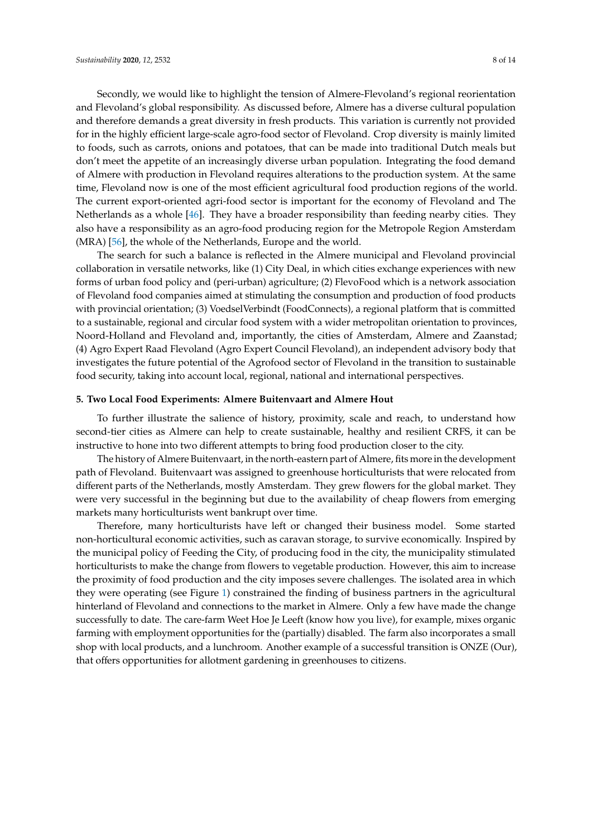Secondly, we would like to highlight the tension of Almere-Flevoland's regional reorientation and Flevoland's global responsibility. As discussed before, Almere has a diverse cultural population and therefore demands a great diversity in fresh products. This variation is currently not provided for in the highly efficient large-scale agro-food sector of Flevoland. Crop diversity is mainly limited to foods, such as carrots, onions and potatoes, that can be made into traditional Dutch meals but don't meet the appetite of an increasingly diverse urban population. Integrating the food demand of Almere with production in Flevoland requires alterations to the production system. At the same time, Flevoland now is one of the most efficient agricultural food production regions of the world. The current export-oriented agri-food sector is important for the economy of Flevoland and The Netherlands as a whole [\[46\]](#page-12-12). They have a broader responsibility than feeding nearby cities. They also have a responsibility as an agro-food producing region for the Metropole Region Amsterdam (MRA) [\[56\]](#page-12-22), the whole of the Netherlands, Europe and the world.

The search for such a balance is reflected in the Almere municipal and Flevoland provincial collaboration in versatile networks, like (1) City Deal, in which cities exchange experiences with new forms of urban food policy and (peri-urban) agriculture; (2) FlevoFood which is a network association of Flevoland food companies aimed at stimulating the consumption and production of food products with provincial orientation; (3) VoedselVerbindt (FoodConnects), a regional platform that is committed to a sustainable, regional and circular food system with a wider metropolitan orientation to provinces, Noord-Holland and Flevoland and, importantly, the cities of Amsterdam, Almere and Zaanstad; (4) Agro Expert Raad Flevoland (Agro Expert Council Flevoland), an independent advisory body that investigates the future potential of the Agrofood sector of Flevoland in the transition to sustainable food security, taking into account local, regional, national and international perspectives.

#### <span id="page-7-0"></span>**5. Two Local Food Experiments: Almere Buitenvaart and Almere Hout**

To further illustrate the salience of history, proximity, scale and reach, to understand how second-tier cities as Almere can help to create sustainable, healthy and resilient CRFS, it can be instructive to hone into two different attempts to bring food production closer to the city.

The history of Almere Buitenvaart, in the north-eastern part of Almere, fits more in the development path of Flevoland. Buitenvaart was assigned to greenhouse horticulturists that were relocated from different parts of the Netherlands, mostly Amsterdam. They grew flowers for the global market. They were very successful in the beginning but due to the availability of cheap flowers from emerging markets many horticulturists went bankrupt over time.

Therefore, many horticulturists have left or changed their business model. Some started non-horticultural economic activities, such as caravan storage, to survive economically. Inspired by the municipal policy of Feeding the City, of producing food in the city, the municipality stimulated horticulturists to make the change from flowers to vegetable production. However, this aim to increase the proximity of food production and the city imposes severe challenges. The isolated area in which they were operating (see Figure [1\)](#page-8-0) constrained the finding of business partners in the agricultural hinterland of Flevoland and connections to the market in Almere. Only a few have made the change successfully to date. The care-farm Weet Hoe Je Leeft (know how you live), for example, mixes organic farming with employment opportunities for the (partially) disabled. The farm also incorporates a small shop with local products, and a lunchroom. Another example of a successful transition is ONZE (Our), that offers opportunities for allotment gardening in greenhouses to citizens.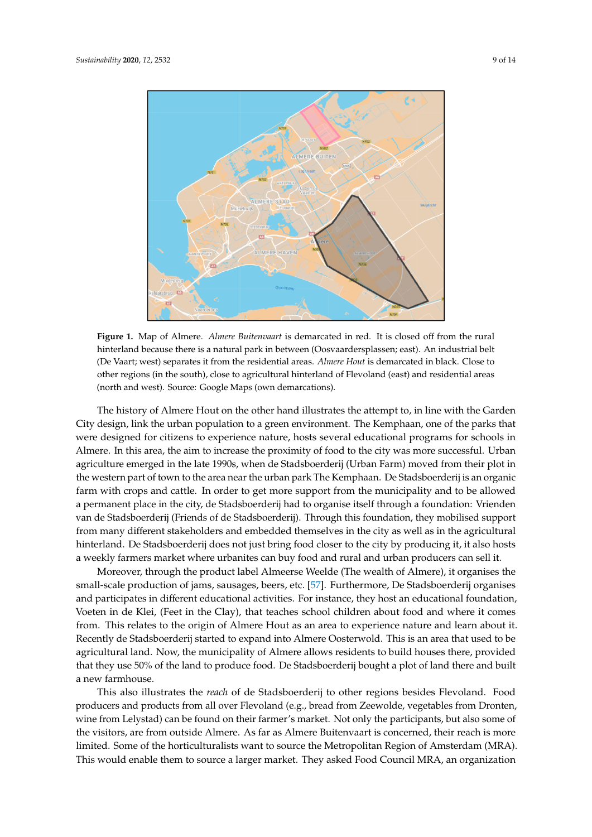<span id="page-8-0"></span>

Figure 1. Map of Almere. *Almere Buitenvaart* is demarcated in red. It is closed off from the rural hinterland because there is a natural park in between (Oosvaardersplassen; east). An industrial belt hinterland because there is a natural park in between (Oosvaardersplassen; east). An industrial belt (De Vaart; west) separates it from the residential areas. *Almere Hout* is demarcated in black. Close to (De Vaart; west) separates it from the residential areas. *Almere Hout* is demarcated in black. Close to other regions (in the south), close to agricultural hinterland of Flevoland (east) and residential areas other regions (in the south), close to agricultural hinterland of Flevoland (east) and residential areas (north and west). Source: Google Maps (own demarcations). (north and west). Source: Google Maps (own demarcations).

City design, link the urban population to a green environment. The Kemphaan, one of the parks that were designed for citizens to experience nature, hosts several educational programs for schools in Almere. In this area, the aim to increase the proximity of food to the city was more successful. Urban agriculture emerged in the late 1990s, when de Stadsboerderij (Urban Farm) moved from their plot in The history of Almere Hout on the other hand illustrates the attempt to, in line with the Garden the western part of town to the area near the urban park The Kemphaan. De Stadsboerderij is an organic farm with crops and cattle. In order to get more support from the municipality and to be allowed a permanent place in the city, de Stadsboerderij had to organise itself through a foundation: Vrienden van de Stadsboerderij (Friends of de Stadsboerderij). Through this foundation, they mobilised support from many different stakeholders and embedded themselves in the city as well as in the agricultural hinterland. De Stadsboerderij does not just bring food closer to the city by producing it, it also hosts a weekly farmers market where urbanites can buy food and rural and urban producers can sell it.

Moreover, through the product label Almeerse Weelde (The wealth of Almere), it organises the small-scale production of jams, sausages, beers, etc. [\[57\]](#page-13-0). Furthermore, De Stadsboerderij organises and participates in different educational activities. For instance, they host an educational foundation, Voeten in de Klei, (Feet in the Clay), that teaches school children about food and where it comes from. This relates to the origin of Almere Hout as an area to experience nature and learn about it. Recently de Stadsboerderij started to expand into Almere Oosterwold. This is an area that used to be agricultural land. Now, the municipality of Almere allows residents to build houses there, provided that they use 50% of the land to produce food. De Stadsboerderij bought a plot of land there and built a new farmhouse.

This also illustrates the *reach* of de Stadsboerderij to other regions besides Flevoland. Food producers and products from all over Flevoland (e.g., bread from Zeewolde, vegetables from Dronten, wine from Lelystad) can be found on their farmer's market. Not only the participants, but also some of the visitors, are from outside Almere. As far as Almere Buitenvaart is concerned, their reach is more limited. Some of the horticulturalists want to source the Metropolitan Region of Amsterdam (MRA). This would enable them to source a larger market. They asked Food Council MRA, an organization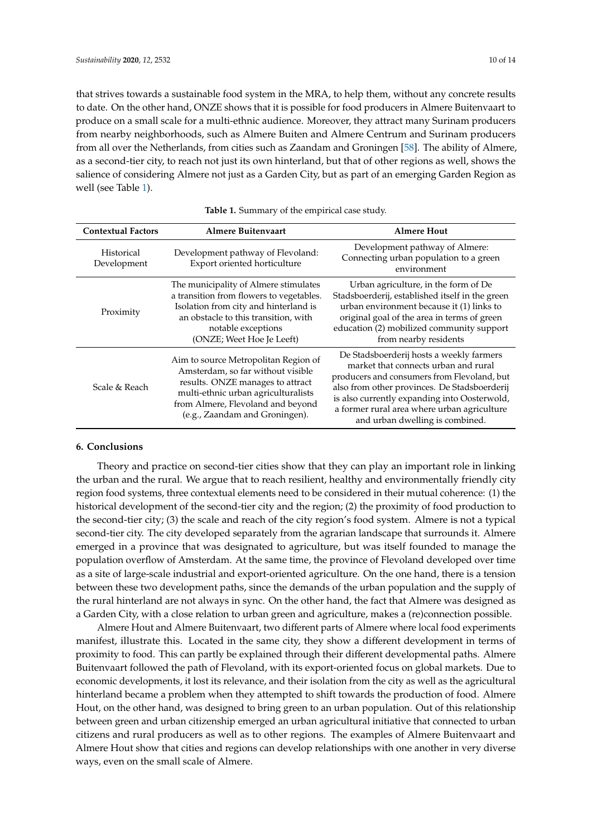that strives towards a sustainable food system in the MRA, to help them, without any concrete results to date. On the other hand, ONZE shows that it is possible for food producers in Almere Buitenvaart to produce on a small scale for a multi-ethnic audience. Moreover, they attract many Surinam producers from nearby neighborhoods, such as Almere Buiten and Almere Centrum and Surinam producers from all over the Netherlands, from cities such as Zaandam and Groningen [\[58\]](#page-13-1). The ability of Almere, as a second-tier city, to reach not just its own hinterland, but that of other regions as well, shows the salience of considering Almere not just as a Garden City, but as part of an emerging Garden Region as well (see Table [1\)](#page-9-0).

<span id="page-9-0"></span>

| <b>Contextual Factors</b> | <b>Almere Buitenvaart</b>                                                                                                                                                                                                   | <b>Almere Hout</b>                                                                                                                                                                                                                                                                                                |
|---------------------------|-----------------------------------------------------------------------------------------------------------------------------------------------------------------------------------------------------------------------------|-------------------------------------------------------------------------------------------------------------------------------------------------------------------------------------------------------------------------------------------------------------------------------------------------------------------|
| Historical<br>Development | Development pathway of Flevoland:<br>Export oriented horticulture                                                                                                                                                           | Development pathway of Almere:<br>Connecting urban population to a green<br>environment                                                                                                                                                                                                                           |
| Proximity                 | The municipality of Almere stimulates<br>a transition from flowers to vegetables.<br>Isolation from city and hinterland is<br>an obstacle to this transition, with<br>notable exceptions<br>(ONZE; Weet Hoe Je Leeft)       | Urban agriculture, in the form of De<br>Stadsboerderij, established itself in the green<br>urban environment because it (1) links to<br>original goal of the area in terms of green<br>education (2) mobilized community support<br>from nearby residents                                                         |
| Scale & Reach             | Aim to source Metropolitan Region of<br>Amsterdam, so far without visible<br>results. ONZE manages to attract<br>multi-ethnic urban agriculturalists<br>from Almere, Flevoland and beyond<br>(e.g., Zaandam and Groningen). | De Stadsboerderij hosts a weekly farmers<br>market that connects urban and rural<br>producers and consumers from Flevoland, but<br>also from other provinces. De Stadsboerderij<br>is also currently expanding into Oosterwold,<br>a former rural area where urban agriculture<br>and urban dwelling is combined. |

#### **Table 1.** Summary of the empirical case study.

#### **6. Conclusions**

Theory and practice on second-tier cities show that they can play an important role in linking the urban and the rural. We argue that to reach resilient, healthy and environmentally friendly city region food systems, three contextual elements need to be considered in their mutual coherence: (1) the historical development of the second-tier city and the region; (2) the proximity of food production to the second-tier city; (3) the scale and reach of the city region's food system. Almere is not a typical second-tier city. The city developed separately from the agrarian landscape that surrounds it. Almere emerged in a province that was designated to agriculture, but was itself founded to manage the population overflow of Amsterdam. At the same time, the province of Flevoland developed over time as a site of large-scale industrial and export-oriented agriculture. On the one hand, there is a tension between these two development paths, since the demands of the urban population and the supply of the rural hinterland are not always in sync. On the other hand, the fact that Almere was designed as a Garden City, with a close relation to urban green and agriculture, makes a (re)connection possible.

Almere Hout and Almere Buitenvaart, two different parts of Almere where local food experiments manifest, illustrate this. Located in the same city, they show a different development in terms of proximity to food. This can partly be explained through their different developmental paths. Almere Buitenvaart followed the path of Flevoland, with its export-oriented focus on global markets. Due to economic developments, it lost its relevance, and their isolation from the city as well as the agricultural hinterland became a problem when they attempted to shift towards the production of food. Almere Hout, on the other hand, was designed to bring green to an urban population. Out of this relationship between green and urban citizenship emerged an urban agricultural initiative that connected to urban citizens and rural producers as well as to other regions. The examples of Almere Buitenvaart and Almere Hout show that cities and regions can develop relationships with one another in very diverse ways, even on the small scale of Almere.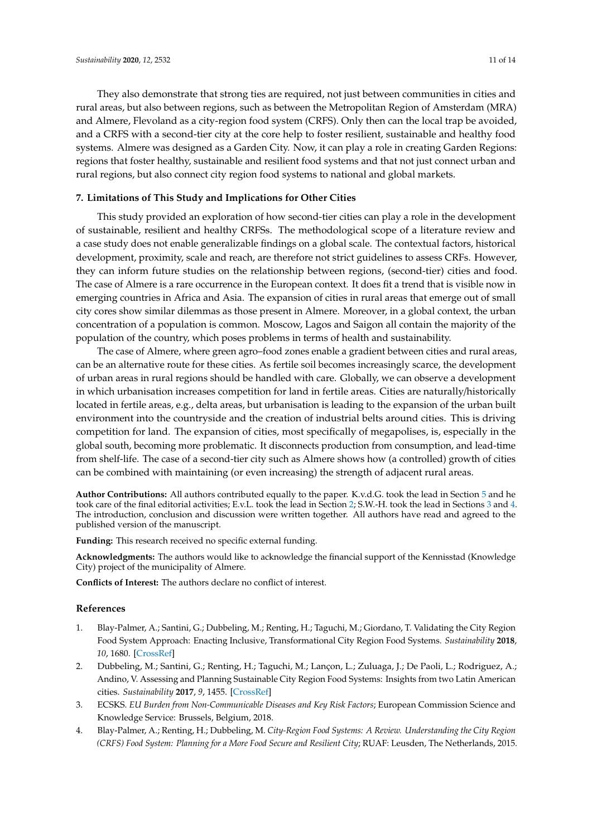They also demonstrate that strong ties are required, not just between communities in cities and rural areas, but also between regions, such as between the Metropolitan Region of Amsterdam (MRA) and Almere, Flevoland as a city-region food system (CRFS). Only then can the local trap be avoided, and a CRFS with a second-tier city at the core help to foster resilient, sustainable and healthy food systems. Almere was designed as a Garden City. Now, it can play a role in creating Garden Regions: regions that foster healthy, sustainable and resilient food systems and that not just connect urban and rural regions, but also connect city region food systems to national and global markets.

## **7. Limitations of This Study and Implications for Other Cities**

This study provided an exploration of how second-tier cities can play a role in the development of sustainable, resilient and healthy CRFSs. The methodological scope of a literature review and a case study does not enable generalizable findings on a global scale. The contextual factors, historical development, proximity, scale and reach, are therefore not strict guidelines to assess CRFs. However, they can inform future studies on the relationship between regions, (second-tier) cities and food. The case of Almere is a rare occurrence in the European context. It does fit a trend that is visible now in emerging countries in Africa and Asia. The expansion of cities in rural areas that emerge out of small city cores show similar dilemmas as those present in Almere. Moreover, in a global context, the urban concentration of a population is common. Moscow, Lagos and Saigon all contain the majority of the population of the country, which poses problems in terms of health and sustainability.

The case of Almere, where green agro–food zones enable a gradient between cities and rural areas, can be an alternative route for these cities. As fertile soil becomes increasingly scarce, the development of urban areas in rural regions should be handled with care. Globally, we can observe a development in which urbanisation increases competition for land in fertile areas. Cities are naturally/historically located in fertile areas, e.g., delta areas, but urbanisation is leading to the expansion of the urban built environment into the countryside and the creation of industrial belts around cities. This is driving competition for land. The expansion of cities, most specifically of megapolises, is, especially in the global south, becoming more problematic. It disconnects production from consumption, and lead-time from shelf-life. The case of a second-tier city such as Almere shows how (a controlled) growth of cities can be combined with maintaining (or even increasing) the strength of adjacent rural areas.

**Author Contributions:** All authors contributed equally to the paper. K.v.d.G. took the lead in Section [5](#page-7-0) and he took care of the final editorial activities; E.v.L. took the lead in Section [2;](#page-2-0) S.W.-H. took the lead in Sections [3](#page-3-0) and [4.](#page-4-0) The introduction, conclusion and discussion were written together. All authors have read and agreed to the published version of the manuscript.

**Funding:** This research received no specific external funding.

**Acknowledgments:** The authors would like to acknowledge the financial support of the Kennisstad (Knowledge City) project of the municipality of Almere.

**Conflicts of Interest:** The authors declare no conflict of interest.

#### **References**

- <span id="page-10-0"></span>1. Blay-Palmer, A.; Santini, G.; Dubbeling, M.; Renting, H.; Taguchi, M.; Giordano, T. Validating the City Region Food System Approach: Enacting Inclusive, Transformational City Region Food Systems. *Sustainability* **2018**, *10*, 1680. [\[CrossRef\]](http://dx.doi.org/10.3390/su10051680)
- <span id="page-10-1"></span>2. Dubbeling, M.; Santini, G.; Renting, H.; Taguchi, M.; Lançon, L.; Zuluaga, J.; De Paoli, L.; Rodriguez, A.; Andino, V. Assessing and Planning Sustainable City Region Food Systems: Insights from two Latin American cities. *Sustainability* **2017**, *9*, 1455. [\[CrossRef\]](http://dx.doi.org/10.3390/su9081455)
- <span id="page-10-2"></span>3. ECSKS. *EU Burden from Non-Communicable Diseases and Key Risk Factors*; European Commission Science and Knowledge Service: Brussels, Belgium, 2018.
- <span id="page-10-3"></span>4. Blay-Palmer, A.; Renting, H.; Dubbeling, M. *City-Region Food Systems: A Review. Understanding the City Region (CRFS) Food System: Planning for a More Food Secure and Resilient City*; RUAF: Leusden, The Netherlands, 2015.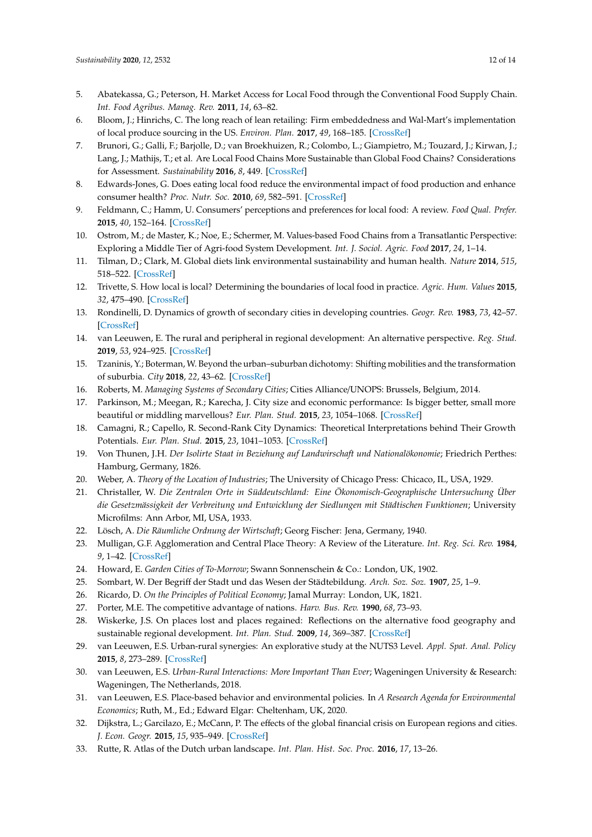- <span id="page-11-0"></span>5. Abatekassa, G.; Peterson, H. Market Access for Local Food through the Conventional Food Supply Chain. *Int. Food Agribus. Manag. Rev.* **2011**, *14*, 63–82.
- 6. Bloom, J.; Hinrichs, C. The long reach of lean retailing: Firm embeddedness and Wal-Mart's implementation of local produce sourcing in the US. *Environ. Plan.* **2017**, *49*, 168–185. [\[CrossRef\]](http://dx.doi.org/10.1177/0308518X16663207)
- 7. Brunori, G.; Galli, F.; Barjolle, D.; van Broekhuizen, R.; Colombo, L.; Giampietro, M.; Touzard, J.; Kirwan, J.; Lang, J.; Mathijs, T.; et al. Are Local Food Chains More Sustainable than Global Food Chains? Considerations for Assessment. *Sustainability* **2016**, *8*, 449. [\[CrossRef\]](http://dx.doi.org/10.3390/su8050449)
- <span id="page-11-23"></span>8. Edwards-Jones, G. Does eating local food reduce the environmental impact of food production and enhance consumer health? *Proc. Nutr. Soc.* **2010**, *69*, 582–591. [\[CrossRef\]](http://dx.doi.org/10.1017/S0029665110002004)
- 9. Feldmann, C.; Hamm, U. Consumers' perceptions and preferences for local food: A review. *Food Qual. Prefer.* **2015**, *40*, 152–164. [\[CrossRef\]](http://dx.doi.org/10.1016/j.foodqual.2014.09.014)
- 10. Ostrom, M.; de Master, K.; Noe, E.; Schermer, M. Values-based Food Chains from a Transatlantic Perspective: Exploring a Middle Tier of Agri-food System Development. *Int. J. Sociol. Agric. Food* **2017**, *24*, 1–14.
- 11. Tilman, D.; Clark, M. Global diets link environmental sustainability and human health. *Nature* **2014**, *515*, 518–522. [\[CrossRef\]](http://dx.doi.org/10.1038/nature13959)
- <span id="page-11-1"></span>12. Trivette, S. How local is local? Determining the boundaries of local food in practice. *Agric. Hum. Values* **2015**, *32*, 475–490. [\[CrossRef\]](http://dx.doi.org/10.1007/s10460-014-9566-7)
- <span id="page-11-2"></span>13. Rondinelli, D. Dynamics of growth of secondary cities in developing countries. *Geogr. Rev.* **1983**, *73*, 42–57. [\[CrossRef\]](http://dx.doi.org/10.2307/214394)
- <span id="page-11-3"></span>14. van Leeuwen, E. The rural and peripheral in regional development: An alternative perspective. *Reg. Stud.* **2019**, *53*, 924–925. [\[CrossRef\]](http://dx.doi.org/10.1080/00343404.2019.1580978)
- <span id="page-11-4"></span>15. Tzaninis, Y.; Boterman, W. Beyond the urban–suburban dichotomy: Shifting mobilities and the transformation of suburbia. *City* **2018**, *22*, 43–62. [\[CrossRef\]](http://dx.doi.org/10.1080/13604813.2018.1432143)
- <span id="page-11-5"></span>16. Roberts, M. *Managing Systems of Secondary Cities*; Cities Alliance/UNOPS: Brussels, Belgium, 2014.
- <span id="page-11-6"></span>17. Parkinson, M.; Meegan, R.; Karecha, J. City size and economic performance: Is bigger better, small more beautiful or middling marvellous? *Eur. Plan. Stud.* **2015**, *23*, 1054–1068. [\[CrossRef\]](http://dx.doi.org/10.1080/09654313.2014.904998)
- <span id="page-11-7"></span>18. Camagni, R.; Capello, R. Second-Rank City Dynamics: Theoretical Interpretations behind Their Growth Potentials. *Eur. Plan. Stud.* **2015**, *23*, 1041–1053. [\[CrossRef\]](http://dx.doi.org/10.1080/09654313.2014.904994)
- <span id="page-11-8"></span>19. Von Thunen, J.H. *Der Isolirte Staat in Beziehung auf Landwirschaft und Nationalökonomie*; Friedrich Perthes: Hamburg, Germany, 1826.
- <span id="page-11-9"></span>20. Weber, A. *Theory of the Location of Industries*; The University of Chicago Press: Chicaco, IL, USA, 1929.
- <span id="page-11-10"></span>21. Christaller, W. *Die Zentralen Orte in Süddeutschland: Eine Ökonomisch-Geographische Untersuchung Über die Gesetzmässigkeit der Verbreitung und Entwicklung der Siedlungen mit Städtischen Funktionen*; University Microfilms: Ann Arbor, MI, USA, 1933.
- <span id="page-11-11"></span>22. Lösch, A. *Die Räumliche Ordnung der Wirtschaft*; Georg Fischer: Jena, Germany, 1940.
- <span id="page-11-12"></span>23. Mulligan, G.F. Agglomeration and Central Place Theory: A Review of the Literature. *Int. Reg. Sci. Rev.* **1984**, *9*, 1–42. [\[CrossRef\]](http://dx.doi.org/10.1177/016001768400900101)
- <span id="page-11-13"></span>24. Howard, E. *Garden Cities of To-Morrow*; Swann Sonnenschein & Co.: London, UK, 1902.
- <span id="page-11-14"></span>25. Sombart, W. Der Begriff der Stadt und das Wesen der Städtebildung. *Arch. Soz. Soz.* **1907**, *25*, 1–9.
- <span id="page-11-15"></span>26. Ricardo, D. *On the Principles of Political Economy*; Jamal Murray: London, UK, 1821.
- <span id="page-11-16"></span>27. Porter, M.E. The competitive advantage of nations. *Harv. Bus. Rev.* **1990**, *68*, 73–93.
- <span id="page-11-17"></span>28. Wiskerke, J.S. On places lost and places regained: Reflections on the alternative food geography and sustainable regional development. *Int. Plan. Stud.* **2009**, *14*, 369–387. [\[CrossRef\]](http://dx.doi.org/10.1080/13563471003642803)
- <span id="page-11-18"></span>29. van Leeuwen, E.S. Urban-rural synergies: An explorative study at the NUTS3 Level. *Appl. Spat. Anal. Policy* **2015**, *8*, 273–289. [\[CrossRef\]](http://dx.doi.org/10.1007/s12061-015-9167-x)
- <span id="page-11-19"></span>30. van Leeuwen, E.S. *Urban-Rural Interactions: More Important Than Ever*; Wageningen University & Research: Wageningen, The Netherlands, 2018.
- <span id="page-11-20"></span>31. van Leeuwen, E.S. Place-based behavior and environmental policies. In *A Research Agenda for Environmental Economics*; Ruth, M., Ed.; Edward Elgar: Cheltenham, UK, 2020.
- <span id="page-11-21"></span>32. Dijkstra, L.; Garcilazo, E.; McCann, P. The effects of the global financial crisis on European regions and cities. *J. Econ. Geogr.* **2015**, *15*, 935–949. [\[CrossRef\]](http://dx.doi.org/10.1093/jeg/lbv032)
- <span id="page-11-22"></span>33. Rutte, R. Atlas of the Dutch urban landscape. *Int. Plan. Hist. Soc. Proc.* **2016**, *17*, 13–26.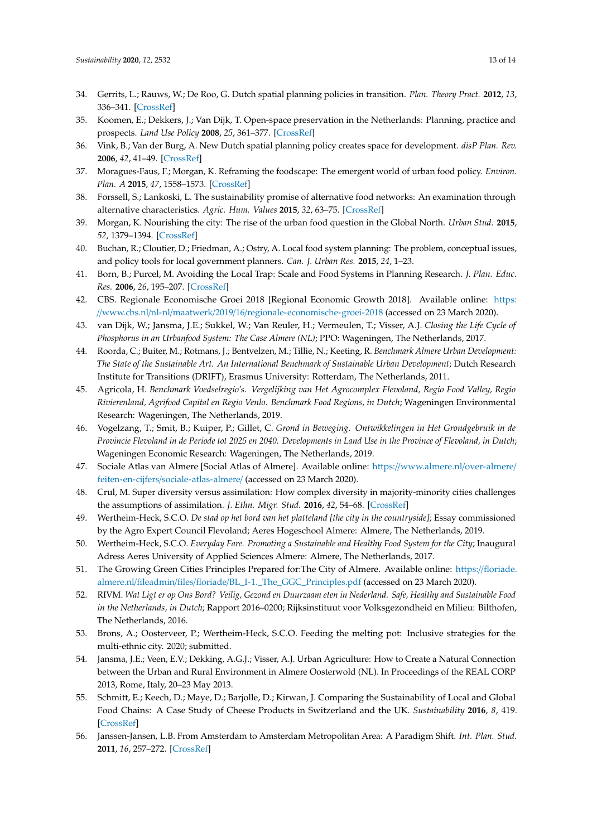- <span id="page-12-0"></span>34. Gerrits, L.; Rauws, W.; De Roo, G. Dutch spatial planning policies in transition. *Plan. Theory Pract.* **2012**, *13*, 336–341. [\[CrossRef\]](http://dx.doi.org/10.1080/14649357.2012.669992)
- <span id="page-12-1"></span>35. Koomen, E.; Dekkers, J.; Van Dijk, T. Open-space preservation in the Netherlands: Planning, practice and prospects. *Land Use Policy* **2008**, *25*, 361–377. [\[CrossRef\]](http://dx.doi.org/10.1016/j.landusepol.2007.09.004)
- <span id="page-12-2"></span>36. Vink, B.; Van der Burg, A. New Dutch spatial planning policy creates space for development. *disP Plan. Rev.* **2006**, *42*, 41–49. [\[CrossRef\]](http://dx.doi.org/10.1080/02513625.2006.10556946)
- <span id="page-12-3"></span>37. Moragues-Faus, F.; Morgan, K. Reframing the foodscape: The emergent world of urban food policy. *Environ. Plan. A* **2015**, *47*, 1558–1573. [\[CrossRef\]](http://dx.doi.org/10.1177/0308518X15595754)
- <span id="page-12-4"></span>38. Forssell, S.; Lankoski, L. The sustainability promise of alternative food networks: An examination through alternative characteristics. *Agric. Hum. Values* **2015**, *32*, 63–75. [\[CrossRef\]](http://dx.doi.org/10.1007/s10460-014-9516-4)
- <span id="page-12-5"></span>39. Morgan, K. Nourishing the city: The rise of the urban food question in the Global North. *Urban Stud.* **2015**, *52*, 1379–1394. [\[CrossRef\]](http://dx.doi.org/10.1177/0042098014534902)
- <span id="page-12-6"></span>40. Buchan, R.; Cloutier, D.; Friedman, A.; Ostry, A. Local food system planning: The problem, conceptual issues, and policy tools for local government planners. *Can. J. Urban Res.* **2015**, *24*, 1–23.
- <span id="page-12-7"></span>41. Born, B.; Purcel, M. Avoiding the Local Trap: Scale and Food Systems in Planning Research. *J. Plan. Educ. Res.* **2006**, *26*, 195–207. [\[CrossRef\]](http://dx.doi.org/10.1177/0739456X06291389)
- <span id="page-12-8"></span>42. CBS. Regionale Economische Groei 2018 [Regional Economic Growth 2018]. Available online: [https:](https://www.cbs.nl/nl-nl/maatwerk/2019/16/regionale-economische-groei-2018) //www.cbs.nl/nl-nl/maatwerk/2019/16/[regionale-economische-groei-2018](https://www.cbs.nl/nl-nl/maatwerk/2019/16/regionale-economische-groei-2018) (accessed on 23 March 2020).
- <span id="page-12-9"></span>43. van Dijk, W.; Jansma, J.E.; Sukkel, W.; Van Reuler, H.; Vermeulen, T.; Visser, A.J. *Closing the Life Cycle of Phosphorus in an Urbanfood System: The Case Almere (NL)*; PPO: Wageningen, The Netherlands, 2017.
- <span id="page-12-10"></span>44. Roorda, C.; Buiter, M.; Rotmans, J.; Bentvelzen, M.; Tillie, N.; Keeting, R. *Benchmark Almere Urban Development: The State of the Sustainable Art. An International Benchmark of Sustainable Urban Development*; Dutch Research Institute for Transitions (DRIFT), Erasmus University: Rotterdam, The Netherlands, 2011.
- <span id="page-12-11"></span>45. Agricola, H. *Benchmark Voedselregio's. Vergelijking van Het Agrocomplex Flevoland, Regio Food Valley, Regio Rivierenland, Agrifood Capital en Regio Venlo. Benchmark Food Regions, in Dutch*; Wageningen Environmental Research: Wageningen, The Netherlands, 2019.
- <span id="page-12-12"></span>46. Vogelzang, T.; Smit, B.; Kuiper, P.; Gillet, C. *Grond in Beweging. Ontwikkelingen in Het Grondgebruik in de Provincie Flevoland in de Periode tot 2025 en 2040. Developments in Land Use in the Province of Flevoland, in Dutch*; Wageningen Economic Research: Wageningen, The Netherlands, 2019.
- <span id="page-12-13"></span>47. Sociale Atlas van Almere [Social Atlas of Almere]. Available online: https://[www.almere.nl](https://www.almere.nl/over-almere/feiten-en-cijfers/sociale-atlas-almere/)/over-almere/ feiten-en-cijfers/[sociale-atlas-almere](https://www.almere.nl/over-almere/feiten-en-cijfers/sociale-atlas-almere/)/ (accessed on 23 March 2020).
- <span id="page-12-14"></span>48. Crul, M. Super diversity versus assimilation: How complex diversity in majority-minority cities challenges the assumptions of assimilation. *J. Ethn. Migr. Stud.* **2016**, *42*, 54–68. [\[CrossRef\]](http://dx.doi.org/10.1080/1369183X.2015.1061425)
- <span id="page-12-15"></span>49. Wertheim-Heck, S.C.O. *De stad op het bord van het platteland [the city in the countryside]*; Essay commissioned by the Agro Expert Council Flevoland; Aeres Hogeschool Almere: Almere, The Netherlands, 2019.
- <span id="page-12-16"></span>50. Wertheim-Heck, S.C.O. *Everyday Fare. Promoting a Sustainable and Healthy Food System for the City*; Inaugural Adress Aeres University of Applied Sciences Almere: Almere, The Netherlands, 2017.
- <span id="page-12-17"></span>51. The Growing Green Cities Principles Prepared for:The City of Almere. Available online: https://[floriade.](https://floriade.almere.nl/fileadmin/files/floriade/BL_I-1._The_GGC_Principles.pdf) almere.nl/fileadmin/files/floriade/[BL\\_I-1.\\_The\\_GGC\\_Principles.pdf](https://floriade.almere.nl/fileadmin/files/floriade/BL_I-1._The_GGC_Principles.pdf) (accessed on 23 March 2020).
- <span id="page-12-18"></span>52. RIVM. *Wat Ligt er op Ons Bord? Veilig, Gezond en Duurzaam eten in Nederland. Safe, Healthy and Sustainable Food in the Netherlands, in Dutch*; Rapport 2016–0200; Rijksinstituut voor Volksgezondheid en Milieu: Bilthofen, The Netherlands, 2016.
- <span id="page-12-19"></span>53. Brons, A.; Oosterveer, P.; Wertheim-Heck, S.C.O. Feeding the melting pot: Inclusive strategies for the multi-ethnic city. 2020; submitted.
- <span id="page-12-20"></span>54. Jansma, J.E.; Veen, E.V.; Dekking, A.G.J.; Visser, A.J. Urban Agriculture: How to Create a Natural Connection between the Urban and Rural Environment in Almere Oosterwold (NL). In Proceedings of the REAL CORP 2013, Rome, Italy, 20–23 May 2013.
- <span id="page-12-21"></span>55. Schmitt, E.; Keech, D.; Maye, D.; Barjolle, D.; Kirwan, J. Comparing the Sustainability of Local and Global Food Chains: A Case Study of Cheese Products in Switzerland and the UK. *Sustainability* **2016**, *8*, 419. [\[CrossRef\]](http://dx.doi.org/10.3390/su8050419)
- <span id="page-12-22"></span>56. Janssen-Jansen, L.B. From Amsterdam to Amsterdam Metropolitan Area: A Paradigm Shift. *Int. Plan. Stud.* **2011**, *16*, 257–272. [\[CrossRef\]](http://dx.doi.org/10.1080/13563475.2011.591145)